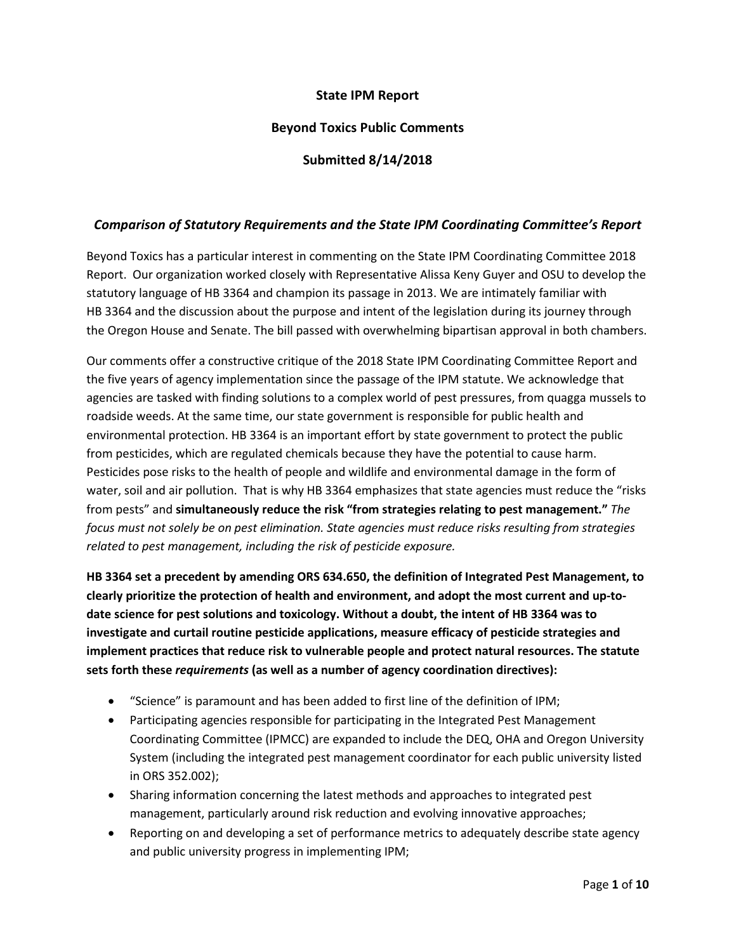# **State IPM Report**

# **Beyond Toxics Public Comments**

### **Submitted 8/14/2018**

### *Comparison of Statutory Requirements and the State IPM Coordinating Committee's Report*

Beyond Toxics has a particular interest in commenting on the State IPM Coordinating Committee 2018 Report. Our organization worked closely with Representative Alissa Keny Guyer and OSU to develop the statutory language of HB 3364 and champion its passage in 2013. We are intimately familiar with HB 3364 and the discussion about the purpose and intent of the legislation during its journey through the Oregon House and Senate. The bill passed with overwhelming bipartisan approval in both chambers.

Our comments offer a constructive critique of the 2018 State IPM Coordinating Committee Report and the five years of agency implementation since the passage of the IPM statute. We acknowledge that agencies are tasked with finding solutions to a complex world of pest pressures, from quagga mussels to roadside weeds. At the same time, our state government is responsible for public health and environmental protection. HB 3364 is an important effort by state government to protect the public from pesticides, which are regulated chemicals because they have the potential to cause harm. Pesticides pose risks to the health of people and wildlife and environmental damage in the form of water, soil and air pollution. That is why HB 3364 emphasizes that state agencies must reduce the "risks from pests" and **simultaneously reduce the risk "from strategies relating to pest management."** *The focus must not solely be on pest elimination. State agencies must reduce risks resulting from strategies related to pest management, including the risk of pesticide exposure.* 

**HB 3364 set a precedent by amending ORS 634.650, the definition of Integrated Pest Management, to clearly prioritize the protection of health and environment, and adopt the most current and up-todate science for pest solutions and toxicology. Without a doubt, the intent of HB 3364 was to investigate and curtail routine pesticide applications, measure efficacy of pesticide strategies and implement practices that reduce risk to vulnerable people and protect natural resources. The statute sets forth these** *requirements* **(as well as a number of agency coordination directives):**

- "Science" is paramount and has been added to first line of the definition of IPM;
- Participating agencies responsible for participating in the Integrated Pest Management Coordinating Committee (IPMCC) are expanded to include the DEQ, OHA and Oregon University System (including the integrated pest management coordinator for each public university listed in ORS 352.002);
- Sharing information concerning the latest methods and approaches to integrated pest management, particularly around risk reduction and evolving innovative approaches;
- Reporting on and developing a set of performance metrics to adequately describe state agency and public university progress in implementing IPM;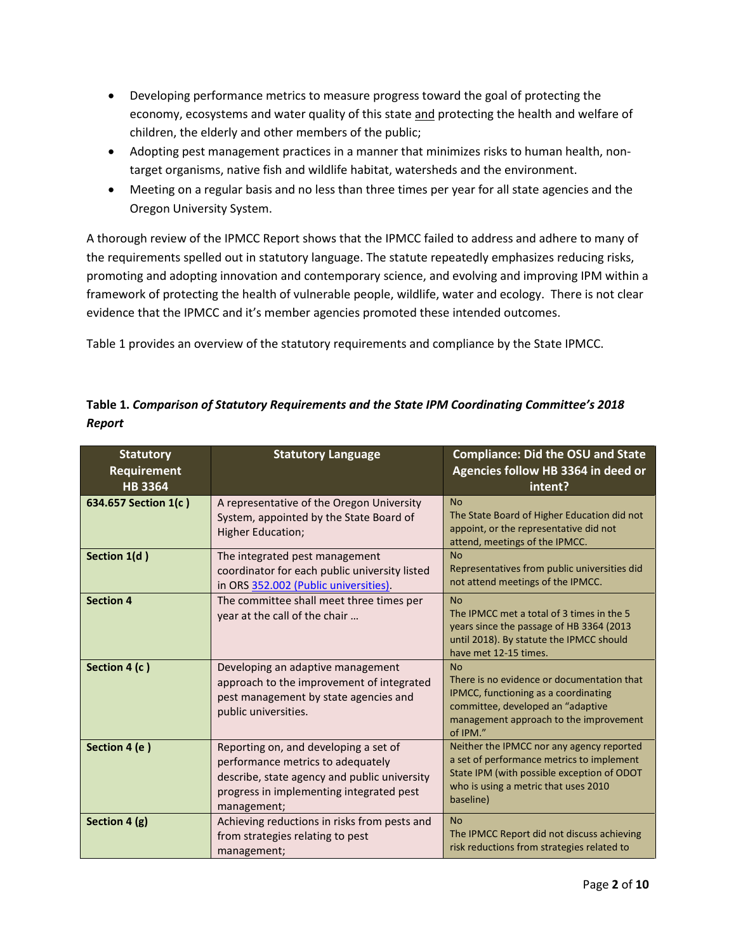- Developing performance metrics to measure progress toward the goal of protecting the economy, ecosystems and water quality of this state and protecting the health and welfare of children, the elderly and other members of the public;
- Adopting pest management practices in a manner that minimizes risks to human health, nontarget organisms, native fish and wildlife habitat, watersheds and the environment.
- Meeting on a regular basis and no less than three times per year for all state agencies and the Oregon University System.

A thorough review of the IPMCC Report shows that the IPMCC failed to address and adhere to many of the requirements spelled out in statutory language. The statute repeatedly emphasizes reducing risks, promoting and adopting innovation and contemporary science, and evolving and improving IPM within a framework of protecting the health of vulnerable people, wildlife, water and ecology. There is not clear evidence that the IPMCC and it's member agencies promoted these intended outcomes.

Table 1 provides an overview of the statutory requirements and compliance by the State IPMCC.

| Table 1. Comparison of Statutory Requirements and the State IPM Coordinating Committee's 2018 |  |
|-----------------------------------------------------------------------------------------------|--|
| Report                                                                                        |  |

| <b>Statutory</b><br>Requirement<br><b>HB3364</b> | <b>Statutory Language</b>                                                                                                                                                             | <b>Compliance: Did the OSU and State</b><br>Agencies follow HB 3364 in deed or<br>intent?                                                                                                  |
|--------------------------------------------------|---------------------------------------------------------------------------------------------------------------------------------------------------------------------------------------|--------------------------------------------------------------------------------------------------------------------------------------------------------------------------------------------|
| 634.657 Section 1(c)                             | A representative of the Oregon University<br>System, appointed by the State Board of<br><b>Higher Education;</b>                                                                      | <b>No</b><br>The State Board of Higher Education did not<br>appoint, or the representative did not<br>attend, meetings of the IPMCC.                                                       |
| Section 1(d)                                     | The integrated pest management<br>coordinator for each public university listed<br>in ORS 352.002 (Public universities).                                                              | <b>No</b><br>Representatives from public universities did<br>not attend meetings of the IPMCC.                                                                                             |
| <b>Section 4</b>                                 | The committee shall meet three times per<br>year at the call of the chair                                                                                                             | <b>No</b><br>The IPMCC met a total of 3 times in the 5<br>years since the passage of HB 3364 (2013<br>until 2018). By statute the IPMCC should<br>have met 12-15 times.                    |
| Section 4 (c)                                    | Developing an adaptive management<br>approach to the improvement of integrated<br>pest management by state agencies and<br>public universities.                                       | <b>No</b><br>There is no evidence or documentation that<br>IPMCC, functioning as a coordinating<br>committee, developed an "adaptive<br>management approach to the improvement<br>of IPM." |
| Section 4 (e)                                    | Reporting on, and developing a set of<br>performance metrics to adequately<br>describe, state agency and public university<br>progress in implementing integrated pest<br>management; | Neither the IPMCC nor any agency reported<br>a set of performance metrics to implement<br>State IPM (with possible exception of ODOT<br>who is using a metric that uses 2010<br>baseline)  |
| Section 4 (g)                                    | Achieving reductions in risks from pests and<br>from strategies relating to pest<br>management;                                                                                       | <b>No</b><br>The IPMCC Report did not discuss achieving<br>risk reductions from strategies related to                                                                                      |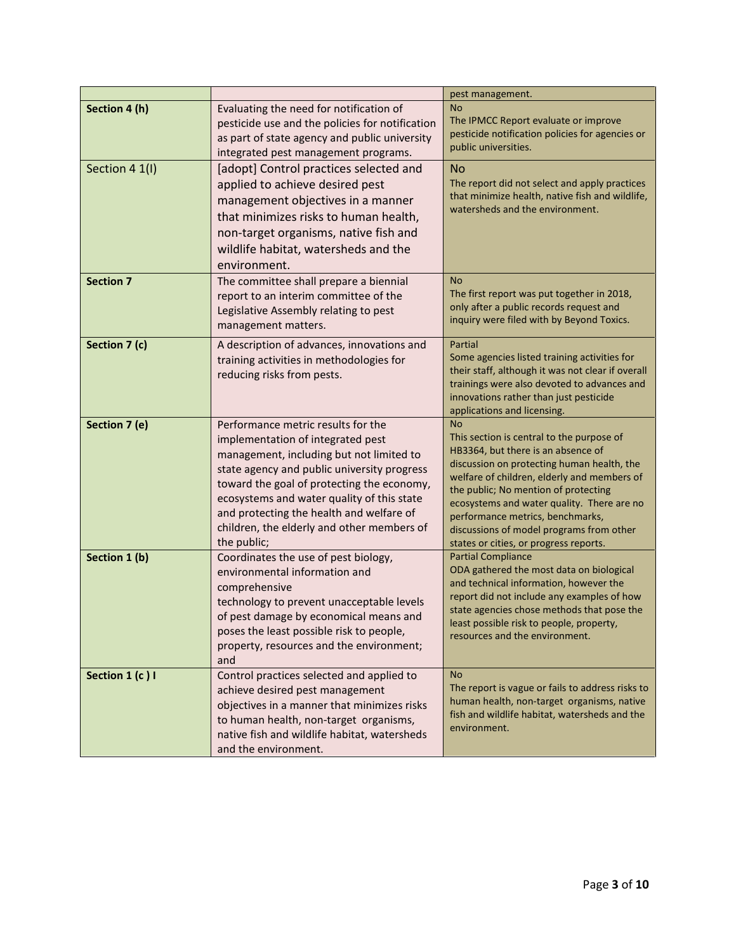|                  |                                                                                                                                                                                                                                                                                                                                                                         | pest management.                                                                                                                                                                                                                                                                                                                                                                                          |
|------------------|-------------------------------------------------------------------------------------------------------------------------------------------------------------------------------------------------------------------------------------------------------------------------------------------------------------------------------------------------------------------------|-----------------------------------------------------------------------------------------------------------------------------------------------------------------------------------------------------------------------------------------------------------------------------------------------------------------------------------------------------------------------------------------------------------|
| Section 4 (h)    | Evaluating the need for notification of<br>pesticide use and the policies for notification<br>as part of state agency and public university<br>integrated pest management programs.                                                                                                                                                                                     | <b>No</b><br>The IPMCC Report evaluate or improve<br>pesticide notification policies for agencies or<br>public universities.                                                                                                                                                                                                                                                                              |
| Section 4 1(I)   | [adopt] Control practices selected and<br>applied to achieve desired pest<br>management objectives in a manner<br>that minimizes risks to human health,<br>non-target organisms, native fish and<br>wildlife habitat, watersheds and the<br>environment.                                                                                                                | <b>No</b><br>The report did not select and apply practices<br>that minimize health, native fish and wildlife,<br>watersheds and the environment.                                                                                                                                                                                                                                                          |
| <b>Section 7</b> | The committee shall prepare a biennial<br>report to an interim committee of the<br>Legislative Assembly relating to pest<br>management matters.                                                                                                                                                                                                                         | <b>No</b><br>The first report was put together in 2018,<br>only after a public records request and<br>inquiry were filed with by Beyond Toxics.                                                                                                                                                                                                                                                           |
| Section 7 (c)    | A description of advances, innovations and<br>training activities in methodologies for<br>reducing risks from pests.                                                                                                                                                                                                                                                    | Partial<br>Some agencies listed training activities for<br>their staff, although it was not clear if overall<br>trainings were also devoted to advances and<br>innovations rather than just pesticide<br>applications and licensing.                                                                                                                                                                      |
| Section 7 (e)    | Performance metric results for the<br>implementation of integrated pest<br>management, including but not limited to<br>state agency and public university progress<br>toward the goal of protecting the economy,<br>ecosystems and water quality of this state<br>and protecting the health and welfare of<br>children, the elderly and other members of<br>the public; | <b>No</b><br>This section is central to the purpose of<br>HB3364, but there is an absence of<br>discussion on protecting human health, the<br>welfare of children, elderly and members of<br>the public; No mention of protecting<br>ecosystems and water quality. There are no<br>performance metrics, benchmarks,<br>discussions of model programs from other<br>states or cities, or progress reports. |
| Section 1 (b)    | Coordinates the use of pest biology,<br>environmental information and<br>comprehensive<br>technology to prevent unacceptable levels<br>of pest damage by economical means and<br>poses the least possible risk to people,<br>property, resources and the environment;<br>and                                                                                            | <b>Partial Compliance</b><br>ODA gathered the most data on biological<br>and technical information, however the<br>report did not include any examples of how<br>state agencies chose methods that pose the<br>least possible risk to people, property,<br>resources and the environment.                                                                                                                 |
| Section 1 (c) I  | Control practices selected and applied to<br>achieve desired pest management<br>objectives in a manner that minimizes risks<br>to human health, non-target organisms,<br>native fish and wildlife habitat, watersheds<br>and the environment.                                                                                                                           | <b>No</b><br>The report is vague or fails to address risks to<br>human health, non-target organisms, native<br>fish and wildlife habitat, watersheds and the<br>environment.                                                                                                                                                                                                                              |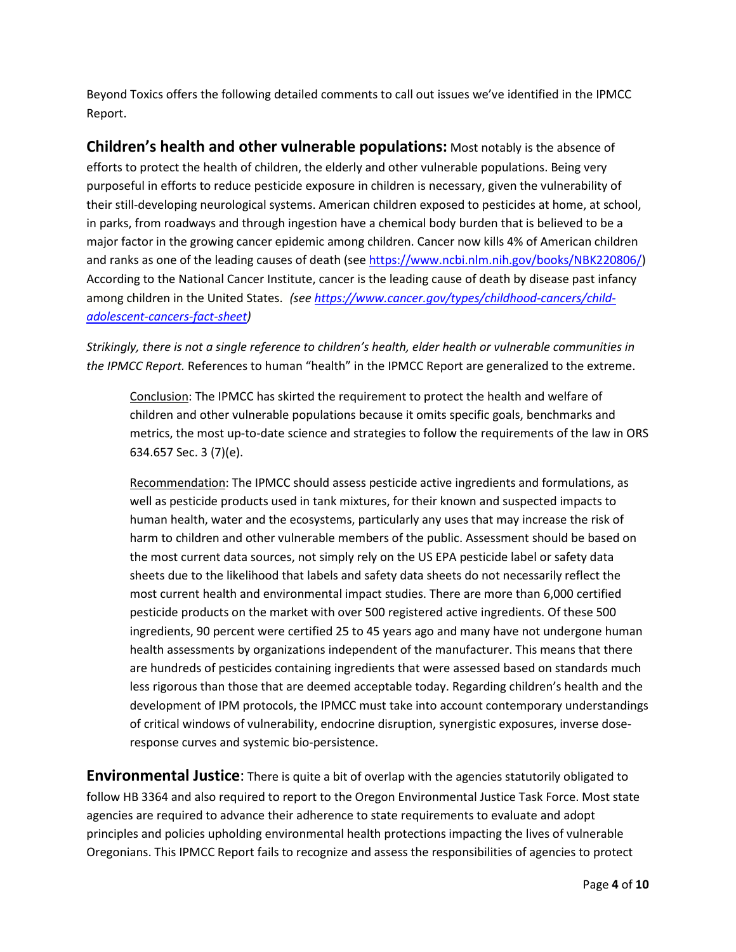Beyond Toxics offers the following detailed comments to call out issues we've identified in the IPMCC Report.

**Children's health and other vulnerable populations:** Most notably is the absence of efforts to protect the health of children, the elderly and other vulnerable populations. Being very purposeful in efforts to reduce pesticide exposure in children is necessary, given the vulnerability of their still-developing neurological systems. American children exposed to pesticides at home, at school, in parks, from roadways and through ingestion have a chemical body burden that is believed to be a major factor in the growing cancer epidemic among children. Cancer now kills 4% of American children and ranks as one of the leading causes of death (see [https://www.ncbi.nlm.nih.gov/books/NBK220806/\)](https://www.ncbi.nlm.nih.gov/books/NBK220806/) According to the National Cancer Institute, cancer is the leading cause of death by disease past infancy among children in the United States. *(se[e https://www.cancer.gov/types/childhood-cancers/child](https://www.cancer.gov/types/childhood-cancers/child-adolescent-cancers-fact-sheet)[adolescent-cancers-fact-sheet\)](https://www.cancer.gov/types/childhood-cancers/child-adolescent-cancers-fact-sheet)* 

*Strikingly, there is not a single reference to children's health, elder health or vulnerable communities in the IPMCC Report.* References to human "health" in the IPMCC Report are generalized to the extreme.

Conclusion: The IPMCC has skirted the requirement to protect the health and welfare of children and other vulnerable populations because it omits specific goals, benchmarks and metrics, the most up-to-date science and strategies to follow the requirements of the law in ORS 634.657 Sec. 3 (7)(e).

Recommendation: The IPMCC should assess pesticide active ingredients and formulations, as well as pesticide products used in tank mixtures, for their known and suspected impacts to human health, water and the ecosystems, particularly any uses that may increase the risk of harm to children and other vulnerable members of the public. Assessment should be based on the most current data sources, not simply rely on the US EPA pesticide label or safety data sheets due to the likelihood that labels and safety data sheets do not necessarily reflect the most current health and environmental impact studies. There are more than 6,000 certified pesticide products on the market with over 500 registered active ingredients. Of these 500 ingredients, 90 percent were certified 25 to 45 years ago and many have not undergone human health assessments by organizations independent of the manufacturer. This means that there are hundreds of pesticides containing ingredients that were assessed based on standards much less rigorous than those that are deemed acceptable today. Regarding children's health and the development of IPM protocols, the IPMCC must take into account contemporary understandings of critical windows of vulnerability, endocrine disruption, synergistic exposures, inverse doseresponse curves and systemic bio-persistence.

**Environmental Justice**: There is quite a bit of overlap with the agencies statutorily obligated to follow HB 3364 and also required to report to the Oregon Environmental Justice Task Force. Most state agencies are required to advance their adherence to state requirements to evaluate and adopt principles and policies upholding environmental health protections impacting the lives of vulnerable Oregonians. This IPMCC Report fails to recognize and assess the responsibilities of agencies to protect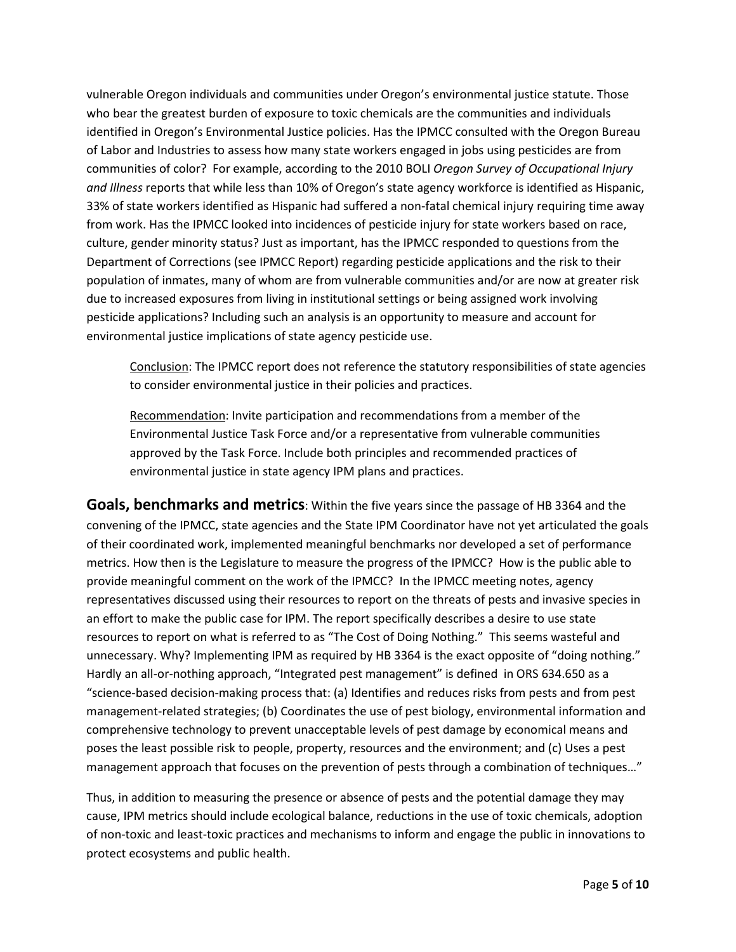vulnerable Oregon individuals and communities under Oregon's environmental justice statute. Those who bear the greatest burden of exposure to toxic chemicals are the communities and individuals identified in Oregon's Environmental Justice policies. Has the IPMCC consulted with the Oregon Bureau of Labor and Industries to assess how many state workers engaged in jobs using pesticides are from communities of color? For example, according to the 2010 BOLI *Oregon Survey of Occupational Injury and Illness* reports that while less than 10% of Oregon's state agency workforce is identified as Hispanic, 33% of state workers identified as Hispanic had suffered a non-fatal chemical injury requiring time away from work. Has the IPMCC looked into incidences of pesticide injury for state workers based on race, culture, gender minority status? Just as important, has the IPMCC responded to questions from the Department of Corrections (see IPMCC Report) regarding pesticide applications and the risk to their population of inmates, many of whom are from vulnerable communities and/or are now at greater risk due to increased exposures from living in institutional settings or being assigned work involving pesticide applications? Including such an analysis is an opportunity to measure and account for environmental justice implications of state agency pesticide use.

Conclusion: The IPMCC report does not reference the statutory responsibilities of state agencies to consider environmental justice in their policies and practices.

Recommendation: Invite participation and recommendations from a member of the Environmental Justice Task Force and/or a representative from vulnerable communities approved by the Task Force. Include both principles and recommended practices of environmental justice in state agency IPM plans and practices.

**Goals, benchmarks and metrics**: Within the five years since the passage of HB 3364 and the convening of the IPMCC, state agencies and the State IPM Coordinator have not yet articulated the goals of their coordinated work, implemented meaningful benchmarks nor developed a set of performance metrics. How then is the Legislature to measure the progress of the IPMCC? How is the public able to provide meaningful comment on the work of the IPMCC? In the IPMCC meeting notes, agency representatives discussed using their resources to report on the threats of pests and invasive species in an effort to make the public case for IPM. The report specifically describes a desire to use state resources to report on what is referred to as "The Cost of Doing Nothing." This seems wasteful and unnecessary. Why? Implementing IPM as required by HB 3364 is the exact opposite of "doing nothing." Hardly an all-or-nothing approach, "Integrated pest management" is defined in ORS 634.650 as a "science-based decision-making process that: (a) Identifies and reduces risks from pests and from pest management-related strategies; (b) Coordinates the use of pest biology, environmental information and comprehensive technology to prevent unacceptable levels of pest damage by economical means and poses the least possible risk to people, property, resources and the environment; and (c) Uses a pest management approach that focuses on the prevention of pests through a combination of techniques…"

Thus, in addition to measuring the presence or absence of pests and the potential damage they may cause, IPM metrics should include ecological balance, reductions in the use of toxic chemicals, adoption of non-toxic and least-toxic practices and mechanisms to inform and engage the public in innovations to protect ecosystems and public health.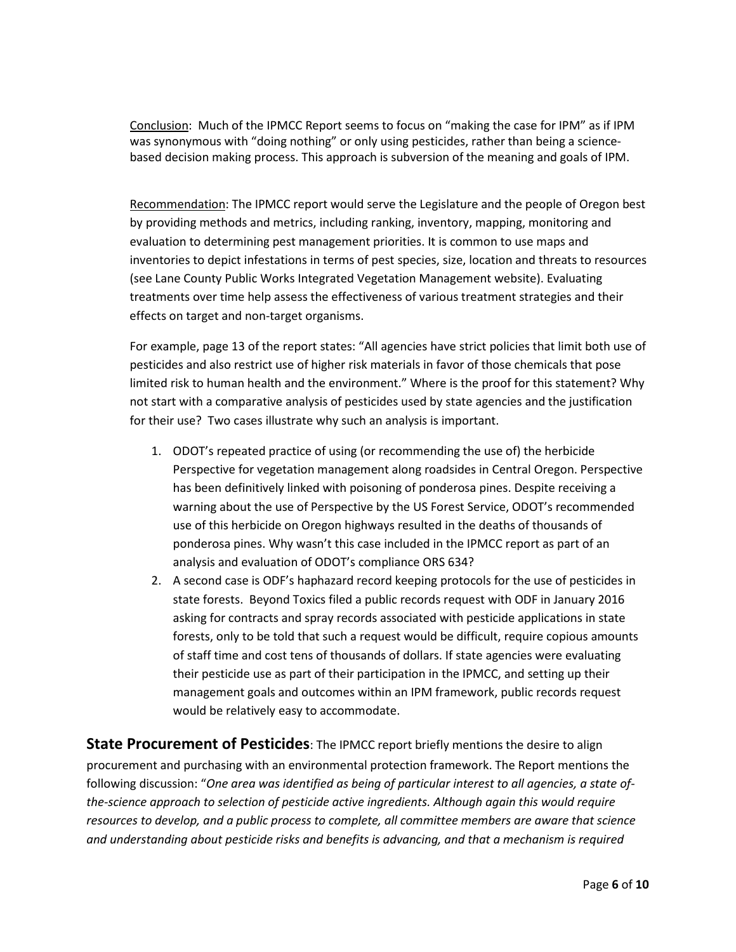Conclusion: Much of the IPMCC Report seems to focus on "making the case for IPM" as if IPM was synonymous with "doing nothing" or only using pesticides, rather than being a sciencebased decision making process. This approach is subversion of the meaning and goals of IPM.

Recommendation: The IPMCC report would serve the Legislature and the people of Oregon best by providing methods and metrics, including ranking, inventory, mapping, monitoring and evaluation to determining pest management priorities. It is common to use maps and inventories to depict infestations in terms of pest species, size, location and threats to resources (see Lane County Public Works Integrated Vegetation Management website). Evaluating treatments over time help assess the effectiveness of various treatment strategies and their effects on target and non-target organisms.

For example, page 13 of the report states: "All agencies have strict policies that limit both use of pesticides and also restrict use of higher risk materials in favor of those chemicals that pose limited risk to human health and the environment." Where is the proof for this statement? Why not start with a comparative analysis of pesticides used by state agencies and the justification for their use? Two cases illustrate why such an analysis is important.

- 1. ODOT's repeated practice of using (or recommending the use of) the herbicide Perspective for vegetation management along roadsides in Central Oregon. Perspective has been definitively linked with poisoning of ponderosa pines. Despite receiving a warning about the use of Perspective by the US Forest Service, ODOT's recommended use of this herbicide on Oregon highways resulted in the deaths of thousands of ponderosa pines. Why wasn't this case included in the IPMCC report as part of an analysis and evaluation of ODOT's compliance ORS 634?
- 2. A second case is ODF's haphazard record keeping protocols for the use of pesticides in state forests. Beyond Toxics filed a public records request with ODF in January 2016 asking for contracts and spray records associated with pesticide applications in state forests, only to be told that such a request would be difficult, require copious amounts of staff time and cost tens of thousands of dollars. If state agencies were evaluating their pesticide use as part of their participation in the IPMCC, and setting up their management goals and outcomes within an IPM framework, public records request would be relatively easy to accommodate.

**State Procurement of Pesticides**: The IPMCC report briefly mentions the desire to align procurement and purchasing with an environmental protection framework. The Report mentions the following discussion: "*One area was identified as being of particular interest to all agencies, a state ofthe-science approach to selection of pesticide active ingredients. Although again this would require resources to develop, and a public process to complete, all committee members are aware that science and understanding about pesticide risks and benefits is advancing, and that a mechanism is required*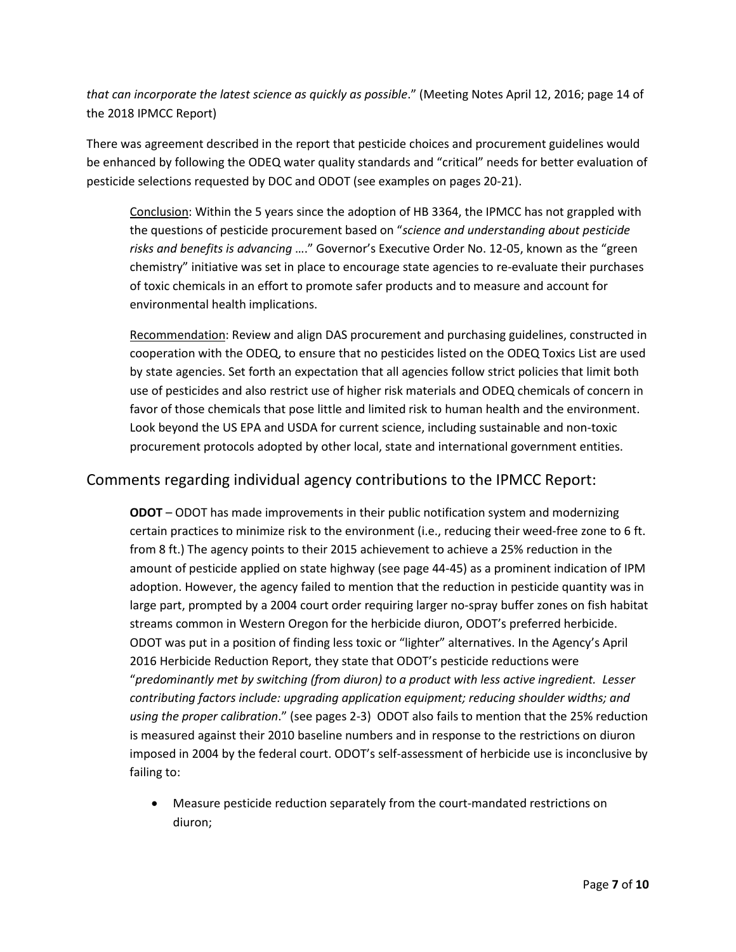*that can incorporate the latest science as quickly as possible*." (Meeting Notes April 12, 2016; page 14 of the 2018 IPMCC Report)

There was agreement described in the report that pesticide choices and procurement guidelines would be enhanced by following the ODEQ water quality standards and "critical" needs for better evaluation of pesticide selections requested by DOC and ODOT (see examples on pages 20-21).

Conclusion: Within the 5 years since the adoption of HB 3364, the IPMCC has not grappled with the questions of pesticide procurement based on "*science and understanding about pesticide risks and benefits is advancing* …." Governor's Executive Order No. 12-05, known as the "green chemistry" initiative was set in place to encourage state agencies to re-evaluate their purchases of toxic chemicals in an effort to promote safer products and to measure and account for environmental health implications.

Recommendation: Review and align DAS procurement and purchasing guidelines, constructed in cooperation with the ODEQ, to ensure that no pesticides listed on the ODEQ Toxics List are used by state agencies. Set forth an expectation that all agencies follow strict policies that limit both use of pesticides and also restrict use of higher risk materials and ODEQ chemicals of concern in favor of those chemicals that pose little and limited risk to human health and the environment. Look beyond the US EPA and USDA for current science, including sustainable and non-toxic procurement protocols adopted by other local, state and international government entities.

# Comments regarding individual agency contributions to the IPMCC Report:

**ODOT** – ODOT has made improvements in their public notification system and modernizing certain practices to minimize risk to the environment (i.e., reducing their weed-free zone to 6 ft. from 8 ft.) The agency points to their 2015 achievement to achieve a 25% reduction in the amount of pesticide applied on state highway (see page 44-45) as a prominent indication of IPM adoption. However, the agency failed to mention that the reduction in pesticide quantity was in large part, prompted by a 2004 court order requiring larger no-spray buffer zones on fish habitat streams common in Western Oregon for the herbicide diuron, ODOT's preferred herbicide. ODOT was put in a position of finding less toxic or "lighter" alternatives. In the Agency's April 2016 Herbicide Reduction Report, they state that ODOT's pesticide reductions were "*predominantly met by switching (from diuron) to a product with less active ingredient. Lesser contributing factors include: upgrading application equipment; reducing shoulder widths; and using the proper calibration*." (see pages 2-3) ODOT also fails to mention that the 25% reduction is measured against their 2010 baseline numbers and in response to the restrictions on diuron imposed in 2004 by the federal court. ODOT's self-assessment of herbicide use is inconclusive by failing to:

• Measure pesticide reduction separately from the court-mandated restrictions on diuron;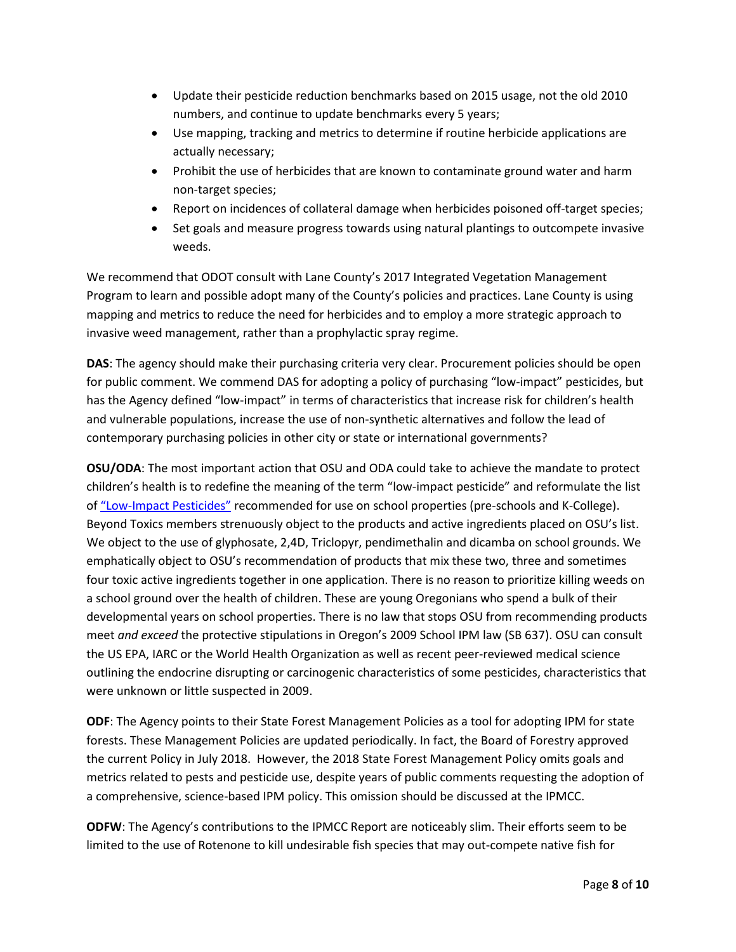- Update their pesticide reduction benchmarks based on 2015 usage, not the old 2010 numbers, and continue to update benchmarks every 5 years;
- Use mapping, tracking and metrics to determine if routine herbicide applications are actually necessary;
- Prohibit the use of herbicides that are known to contaminate ground water and harm non-target species;
- Report on incidences of collateral damage when herbicides poisoned off-target species;
- Set goals and measure progress towards using natural plantings to outcompete invasive weeds.

We recommend that ODOT consult with Lane County's 2017 Integrated Vegetation Management Program to learn and possible adopt many of the County's policies and practices. Lane County is using mapping and metrics to reduce the need for herbicides and to employ a more strategic approach to invasive weed management, rather than a prophylactic spray regime.

**DAS**: The agency should make their purchasing criteria very clear. Procurement policies should be open for public comment. We commend DAS for adopting a policy of purchasing "low-impact" pesticides, but has the Agency defined "low-impact" in terms of characteristics that increase risk for children's health and vulnerable populations, increase the use of non-synthetic alternatives and follow the lead of contemporary purchasing policies in other city or state or international governments?

**OSU/ODA**: The most important action that OSU and ODA could take to achieve the mandate to protect children's health is to redefine the meaning of the term "low-impact pesticide" and reformulate the list o[f "Low-Impact Pesticides"](http://blogs.oregonstate.edu/schoolipm/files/Low_Impact_Pesticide_List.pdf) recommended for use on school properties (pre-schools and K-College). Beyond Toxics members strenuously object to the products and active ingredients placed on OSU's list. We object to the use of glyphosate, 2,4D, Triclopyr, pendimethalin and dicamba on school grounds. We emphatically object to OSU's recommendation of products that mix these two, three and sometimes four toxic active ingredients together in one application. There is no reason to prioritize killing weeds on a school ground over the health of children. These are young Oregonians who spend a bulk of their developmental years on school properties. There is no law that stops OSU from recommending products meet *and exceed* the protective stipulations in Oregon's 2009 School IPM law (SB 637). OSU can consult the US EPA, IARC or the World Health Organization as well as recent peer-reviewed medical science outlining the endocrine disrupting or carcinogenic characteristics of some pesticides, characteristics that were unknown or little suspected in 2009.

**ODF**: The Agency points to their State Forest Management Policies as a tool for adopting IPM for state forests. These Management Policies are updated periodically. In fact, the Board of Forestry approved the current Policy in July 2018. However, the 2018 State Forest Management Policy omits goals and metrics related to pests and pesticide use, despite years of public comments requesting the adoption of a comprehensive, science-based IPM policy. This omission should be discussed at the IPMCC.

**ODFW**: The Agency's contributions to the IPMCC Report are noticeably slim. Their efforts seem to be limited to the use of Rotenone to kill undesirable fish species that may out-compete native fish for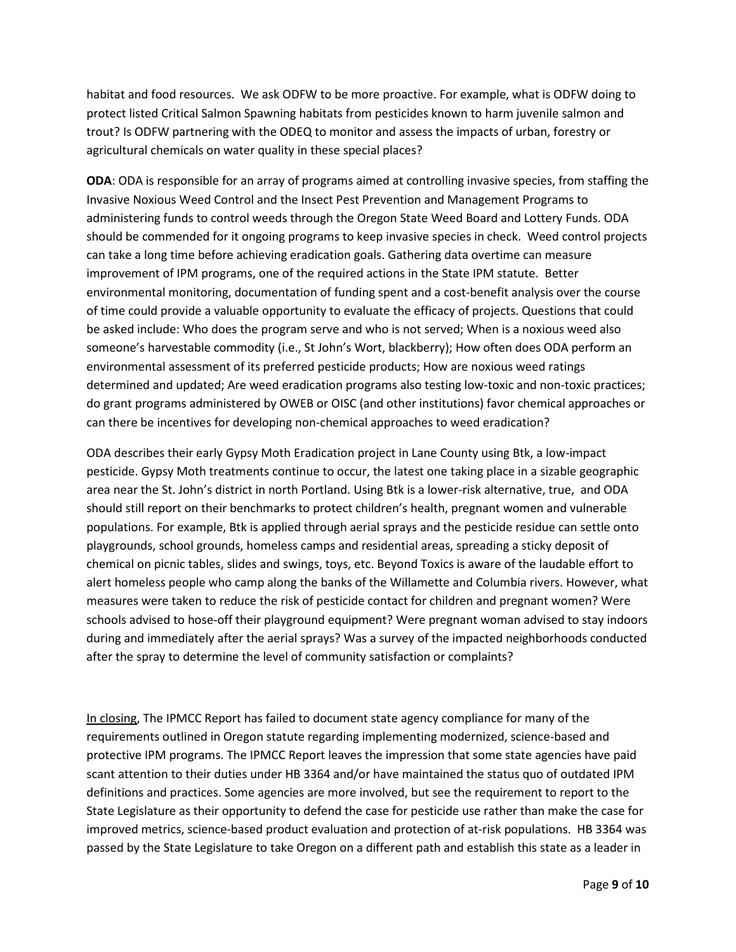habitat and food resources. We ask ODFW to be more proactive. For example, what is ODFW doing to protect listed Critical Salmon Spawning habitats from pesticides known to harm juvenile salmon and trout? Is ODFW partnering with the ODEQ to monitor and assess the impacts of urban, forestry or agricultural chemicals on water quality in these special places?

**ODA**: ODA is responsible for an array of programs aimed at controlling invasive species, from staffing the Invasive Noxious Weed Control and the Insect Pest Prevention and Management Programs to administering funds to control weeds through the Oregon State Weed Board and Lottery Funds. ODA should be commended for it ongoing programs to keep invasive species in check. Weed control projects can take a long time before achieving eradication goals. Gathering data overtime can measure improvement of IPM programs, one of the required actions in the State IPM statute. Better environmental monitoring, documentation of funding spent and a cost-benefit analysis over the course of time could provide a valuable opportunity to evaluate the efficacy of projects. Questions that could be asked include: Who does the program serve and who is not served; When is a noxious weed also someone's harvestable commodity (i.e., St John's Wort, blackberry); How often does ODA perform an environmental assessment of its preferred pesticide products; How are noxious weed ratings determined and updated; Are weed eradication programs also testing low-toxic and non-toxic practices; do grant programs administered by OWEB or OISC (and other institutions) favor chemical approaches or can there be incentives for developing non-chemical approaches to weed eradication?

ODA describes their early Gypsy Moth Eradication project in Lane County using Btk, a low-impact pesticide. Gypsy Moth treatments continue to occur, the latest one taking place in a sizable geographic area near the St. John's district in north Portland. Using Btk is a lower-risk alternative, true, and ODA should still report on their benchmarks to protect children's health, pregnant women and vulnerable populations. For example, Btk is applied through aerial sprays and the pesticide residue can settle onto playgrounds, school grounds, homeless camps and residential areas, spreading a sticky deposit of chemical on picnic tables, slides and swings, toys, etc. Beyond Toxics is aware of the laudable effort to alert homeless people who camp along the banks of the Willamette and Columbia rivers. However, what measures were taken to reduce the risk of pesticide contact for children and pregnant women? Were schools advised to hose-off their playground equipment? Were pregnant woman advised to stay indoors during and immediately after the aerial sprays? Was a survey of the impacted neighborhoods conducted after the spray to determine the level of community satisfaction or complaints?

In closing, The IPMCC Report has failed to document state agency compliance for many of the requirements outlined in Oregon statute regarding implementing modernized, science-based and protective IPM programs. The IPMCC Report leaves the impression that some state agencies have paid scant attention to their duties under HB 3364 and/or have maintained the status quo of outdated IPM definitions and practices. Some agencies are more involved, but see the requirement to report to the State Legislature as their opportunity to defend the case for pesticide use rather than make the case for improved metrics, science-based product evaluation and protection of at-risk populations. HB 3364 was passed by the State Legislature to take Oregon on a different path and establish this state as a leader in